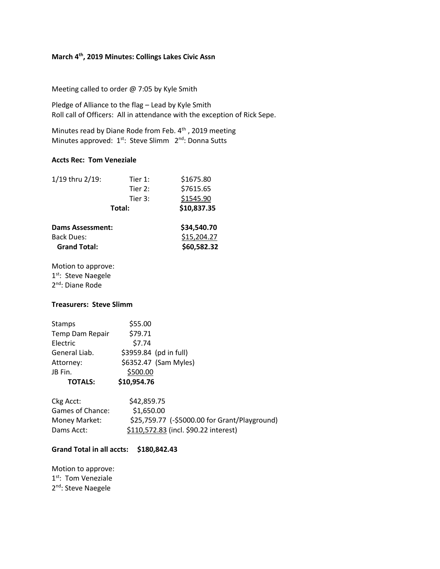# **March 4th, 2019 Minutes: Collings Lakes Civic Assn**

Meeting called to order @ 7:05 by Kyle Smith

Pledge of Alliance to the flag – Lead by Kyle Smith Roll call of Officers: All in attendance with the exception of Rick Sepe.

Minutes read by Diane Rode from Feb. 4<sup>th</sup>, 2019 meeting Minutes approved: 1<sup>st</sup>: Steve Slimm 2<sup>nd</sup>: Donna Sutts

### **Accts Rec: Tom Veneziale**

| 1/19 thru 2/19:         | Tier 1: | \$1675.80   |
|-------------------------|---------|-------------|
|                         | Tier 2: | \$7615.65   |
|                         | Tier 3: | \$1545.90   |
| Total:                  |         | \$10,837.35 |
| <b>Dams Assessment:</b> |         | \$34,540.70 |
| <b>Back Dues:</b>       |         | \$15,204.27 |
| <b>Grand Total:</b>     |         | \$60,582.32 |

Motion to approve: 1<sup>st</sup>: Steve Naegele 2<sup>nd</sup>: Diane Rode

# **Treasurers: Steve Slimm**

| Stamps          | \$55.00                |
|-----------------|------------------------|
| Temp Dam Repair | \$79.71                |
| Electric        | \$7.74                 |
| General Liab.   | \$3959.84 (pd in full) |
| Attorney:       | \$6352.47 (Sam Myles)  |
| JB Fin.         | \$500.00               |
| <b>TOTALS:</b>  | \$10,954.76            |

| Ckg Acct:        | \$42,859.75                                   |
|------------------|-----------------------------------------------|
| Games of Chance: | \$1,650.00                                    |
| Money Market:    | \$25,759.77 (-\$5000.00 for Grant/Playground) |
| Dams Acct:       | \$110,572.83 (incl. \$90.22 interest)         |

### **Grand Total in all accts: \$180,842.43**

Motion to approve: 1<sup>st</sup>: Tom Veneziale 2<sup>nd</sup>: Steve Naegele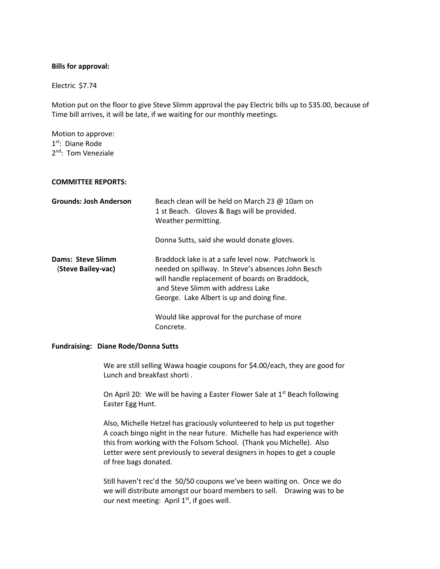### **Bills for approval:**

Electric \$7.74

Motion put on the floor to give Steve Slimm approval the pay Electric bills up to \$35.00, because of Time bill arrives, it will be late, if we waiting for our monthly meetings.

Motion to approve: 1<sup>st</sup>: Diane Rode 2<sup>nd</sup>: Tom Veneziale

### **COMMITTEE REPORTS:**

| <b>Grounds: Josh Anderson</b>           | Beach clean will be held on March 23 @ 10am on<br>1 st Beach. Gloves & Bags will be provided.<br>Weather permitting.                                                                                                                         |
|-----------------------------------------|----------------------------------------------------------------------------------------------------------------------------------------------------------------------------------------------------------------------------------------------|
|                                         | Donna Sutts, said she would donate gloves.                                                                                                                                                                                                   |
| Dams: Steve Slimm<br>(Steve Bailey-vac) | Braddock lake is at a safe level now. Patchwork is<br>needed on spillway. In Steve's absences John Besch<br>will handle replacement of boards on Braddock,<br>and Steve Slimm with address Lake<br>George. Lake Albert is up and doing fine. |
|                                         | Would like approval for the purchase of more<br>Concrete.                                                                                                                                                                                    |

#### **Fundraising: Diane Rode/Donna Sutts**

We are still selling Wawa hoagie coupons for \$4.00/each, they are good for Lunch and breakfast shorti .

On April 20: We will be having a Easter Flower Sale at 1<sup>st</sup> Beach following Easter Egg Hunt.

Also, Michelle Hetzel has graciously volunteered to help us put together A coach bingo night in the near future. Michelle has had experience with this from working with the Folsom School. (Thank you Michelle). Also Letter were sent previously to several designers in hopes to get a couple of free bags donated.

Still haven't rec'd the 50/50 coupons we've been waiting on. Once we do we will distribute amongst our board members to sell. Drawing was to be our next meeting: April 1<sup>st</sup>, if goes well.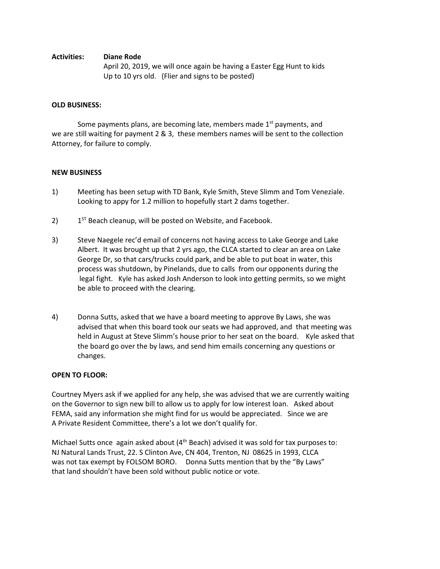# **Activities: Diane Rode**

April 20, 2019, we will once again be having a Easter Egg Hunt to kids Up to 10 yrs old. (Flier and signs to be posted)

# **OLD BUSINESS:**

Some payments plans, are becoming late, members made 1<sup>st</sup> payments, and we are still waiting for payment 2 & 3, these members names will be sent to the collection Attorney, for failure to comply.

# **NEW BUSINESS**

- 1) Meeting has been setup with TD Bank, Kyle Smith, Steve Slimm and Tom Veneziale. Looking to appy for 1.2 million to hopefully start 2 dams together.
- 2) 1  $1<sup>ST</sup>$  Beach cleanup, will be posted on Website, and Facebook.
- 3) Steve Naegele rec'd email of concerns not having access to Lake George and Lake Albert. It was brought up that 2 yrs ago, the CLCA started to clear an area on Lake George Dr, so that cars/trucks could park, and be able to put boat in water, this process was shutdown, by Pinelands, due to calls from our opponents during the legal fight. Kyle has asked Josh Anderson to look into getting permits, so we might be able to proceed with the clearing.
- 4) Donna Sutts, asked that we have a board meeting to approve By Laws, she was advised that when this board took our seats we had approved, and that meeting was held in August at Steve Slimm's house prior to her seat on the board. Kyle asked that the board go over the by laws, and send him emails concerning any questions or changes.

## **OPEN TO FLOOR:**

Courtney Myers ask if we applied for any help, she was advised that we are currently waiting on the Governor to sign new bill to allow us to apply for low interest loan. Asked about FEMA, said any information she might find for us would be appreciated. Since we are A Private Resident Committee, there's a lot we don't qualify for.

Michael Sutts once again asked about (4<sup>th</sup> Beach) advised it was sold for tax purposes to: NJ Natural Lands Trust, 22. S Clinton Ave, CN 404, Trenton, NJ 08625 in 1993, CLCA was not tax exempt by FOLSOM BORO. Donna Sutts mention that by the "By Laws" that land shouldn't have been sold without public notice or vote.